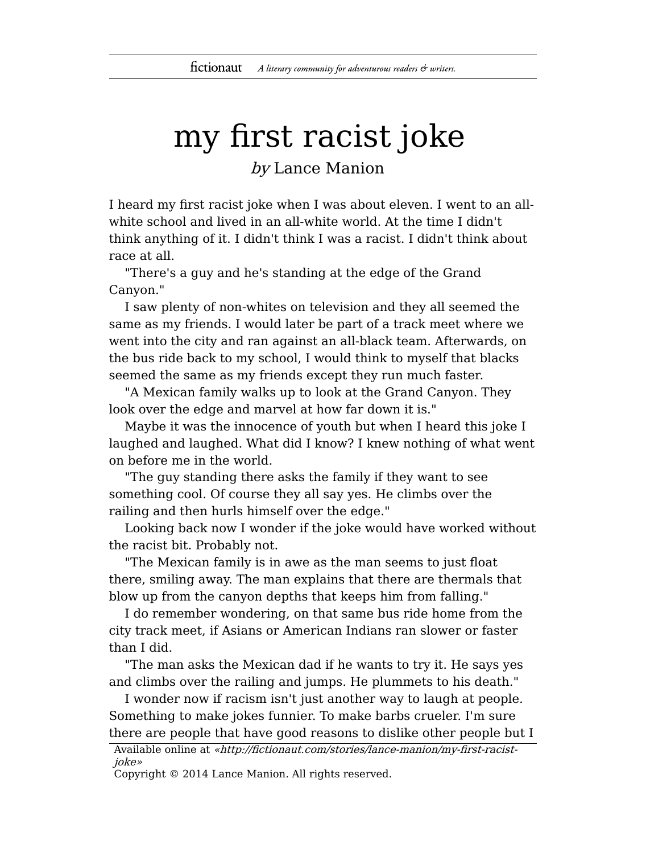## my first racist joke

by Lance Manion

I heard my first racist joke when I was about eleven. I went to an allwhite school and lived in an all-white world. At the time I didn't think anything of it. I didn't think I was a racist. I didn't think about race at all.

"There's a guy and he's standing at the edge of the Grand Canyon."

I saw plenty of non-whites on television and they all seemed the same as my friends. I would later be part of a track meet where we went into the city and ran against an all-black team. Afterwards, on the bus ride back to my school, I would think to myself that blacks seemed the same as my friends except they run much faster.

"A Mexican family walks up to look at the Grand Canyon. They look over the edge and marvel at how far down it is."

Maybe it was the innocence of youth but when I heard this joke I laughed and laughed. What did I know? I knew nothing of what went on before me in the world.

"The guy standing there asks the family if they want to see something cool. Of course they all say yes. He climbs over the railing and then hurls himself over the edge."

Looking back now I wonder if the joke would have worked without the racist bit. Probably not.

"The Mexican family is in awe as the man seems to just float there, smiling away. The man explains that there are thermals that blow up from the canyon depths that keeps him from falling."

I do remember wondering, on that same bus ride home from the city track meet, if Asians or American Indians ran slower or faster than I did.

"The man asks the Mexican dad if he wants to try it. He says yes and climbs over the railing and jumps. He plummets to his death."

I wonder now if racism isn't just another way to laugh at people. Something to make jokes funnier. To make barbs crueler. I'm sure there are people that have good reasons to dislike other people but I

Available online at «http://fictionaut.com/stories/lance-manion/my-first-racistjoke»

Copyright © 2014 Lance Manion. All rights reserved.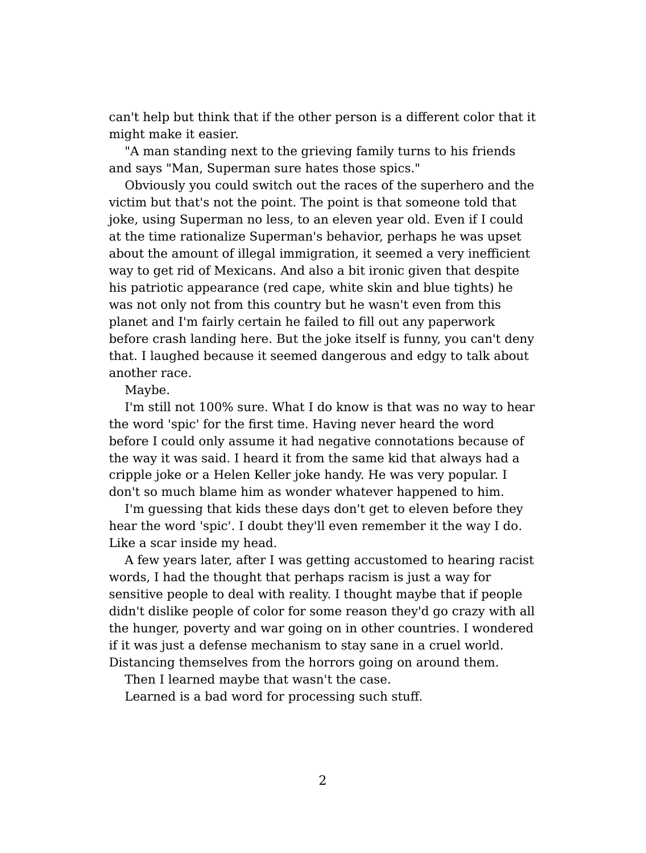can't help but think that if the other person is a different color that it might make it easier.

"A man standing next to the grieving family turns to his friends and says "Man, Superman sure hates those spics."

Obviously you could switch out the races of the superhero and the victim but that's not the point. The point is that someone told that joke, using Superman no less, to an eleven year old. Even if I could at the time rationalize Superman's behavior, perhaps he was upset about the amount of illegal immigration, it seemed a very inefficient way to get rid of Mexicans. And also a bit ironic given that despite his patriotic appearance (red cape, white skin and blue tights) he was not only not from this country but he wasn't even from this planet and I'm fairly certain he failed to fill out any paperwork before crash landing here. But the joke itself is funny, you can't deny that. I laughed because it seemed dangerous and edgy to talk about another race.

Maybe.

I'm still not 100% sure. What I do know is that was no way to hear the word 'spic' for the first time. Having never heard the word before I could only assume it had negative connotations because of the way it was said. I heard it from the same kid that always had a cripple joke or a Helen Keller joke handy. He was very popular. I don't so much blame him as wonder whatever happened to him.

I'm guessing that kids these days don't get to eleven before they hear the word 'spic'. I doubt they'll even remember it the way I do. Like a scar inside my head.

A few years later, after I was getting accustomed to hearing racist words, I had the thought that perhaps racism is just a way for sensitive people to deal with reality. I thought maybe that if people didn't dislike people of color for some reason they'd go crazy with all the hunger, poverty and war going on in other countries. I wondered if it was just a defense mechanism to stay sane in a cruel world. Distancing themselves from the horrors going on around them.

Then I learned maybe that wasn't the case.

Learned is a bad word for processing such stuff.